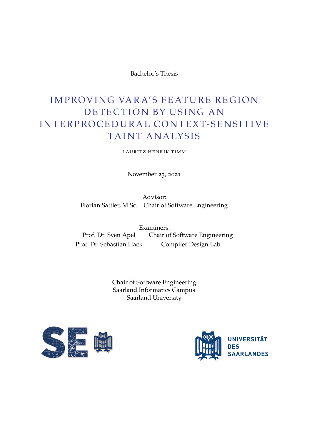Bachelor's Thesis

## IMPROVING VARA'S FEATURE REGION DETECTION BY USING AN IN TERPROCEDURAL CONTEXT-SENSITIVE TAINT ANALYSIS

lauritz henrik timm

November 23, 2021

Advisor: Florian Sattler, M.Sc. Chair of Software Engineering

Examiners: Prof. Dr. Sven Apel Chair of Software Engineering Prof. Dr. Sebastian Hack Compiler Design Lab

> Chair of Software Engineering Saarland Informatics Campus Saarland University



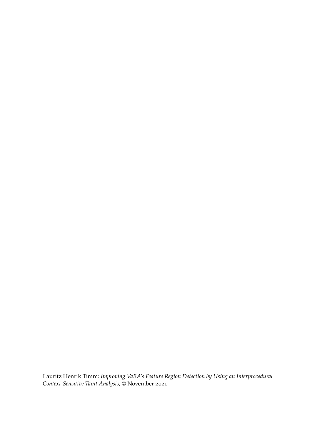Lauritz Henrik Timm: *Improving VaRA's Feature Region Detection by Using an Interprocedural Context-Sensitive Taint Analysis,* © November 2021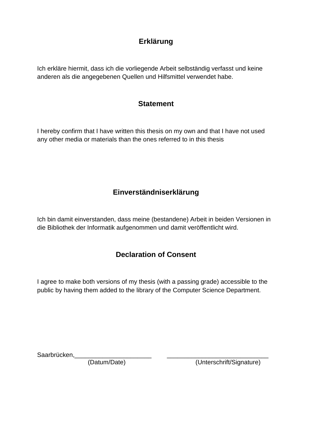## **Erklärung**

Ich erkläre hiermit, dass ich die vorliegende Arbeit selbständig verfasst und keine anderen als die angegebenen Quellen und Hilfsmittel verwendet habe.

### **Statement**

I hereby confirm that I have written this thesis on my own and that I have not used any other media or materials than the ones referred to in this thesis

## **Einverständniserklärung**

Ich bin damit einverstanden, dass meine (bestandene) Arbeit in beiden Versionen in die Bibliothek der Informatik aufgenommen und damit veröffentlicht wird.

### **Declaration of Consent**

I agree to make both versions of my thesis (with a passing grade) accessible to the public by having them added to the library of the Computer Science Department.

Saarbrücken,

(Datum/Date) (Unterschrift/Signature)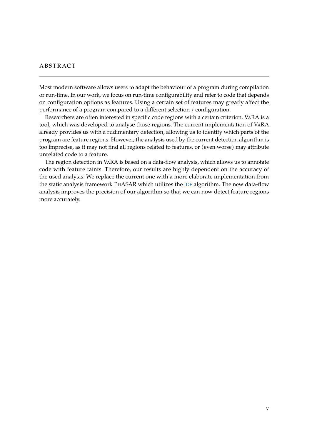#### **ABSTRACT**

Most modern software allows users to adapt the behaviour of a program during compilation or run-time. In our work, we focus on run-time configurability and refer to code that depends on configuration options as features. Using a certain set of features may greatly affect the performance of a program compared to a different selection / configuration.

Researchers are often interested in specific code regions with a certain criterion. VaRA is a tool, which was developed to analyse those regions. The current implementation of VaRA already provides us with a rudimentary detection, allowing us to identify which parts of the program are feature regions. However, the analysis used by the current detection algorithm is too imprecise, as it may not find all regions related to features, or (even worse) may attribute unrelated code to a feature.

The region detection in VaRA is based on a data-flow analysis, which allows us to annotate code with feature taints. Therefore, our results are highly dependent on the accuracy of the used analysis. We replace the current one with a more elaborate implementation from the static analysis framework PhASAR which utilizes the [IDE](#page-8-0) algorithm. The new data-flow analysis improves the precision of our algorithm so that we can now detect feature regions more accurately.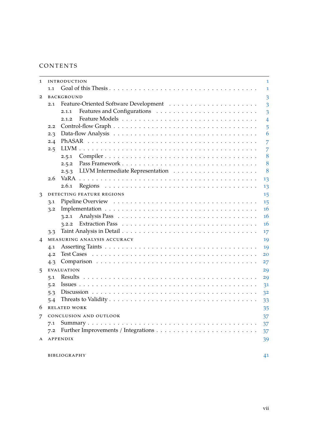### CONTENTS

| 1            |     | <b>INTRODUCTION</b>         | 1              |
|--------------|-----|-----------------------------|----------------|
|              | 1.1 |                             | 1              |
| $\mathbf{2}$ |     | <b>BACKGROUND</b>           | 3              |
|              | 2.1 |                             | 3              |
|              |     | 2.1.1                       | 3              |
|              |     | 2.1.2                       | $\overline{4}$ |
|              | 2.2 |                             | 5              |
|              | 2.3 |                             | 6              |
|              | 2.4 |                             | 7              |
|              | 2.5 |                             | 7              |
|              |     | 2.5.1                       | 8              |
|              |     | 2.5.2                       | 8              |
|              |     | 2.5.3                       | 8              |
|              | 2.6 |                             | 13             |
|              |     | 2.6.1                       | 13             |
| 3            |     | DETECTING FEATURE REGIONS   | 15             |
|              | 3.1 |                             | 15             |
|              | 3.2 |                             | 16             |
|              |     | 3.2.1                       | 16             |
|              |     | 3.2.2                       | 16             |
|              | 3.3 |                             | 17             |
| 4            |     | MEASURING ANALYSIS ACCURACY | 19             |
|              | 4.1 |                             | 19             |
|              | 4.2 |                             | 20             |
|              | 4.3 |                             | 27             |
| 5            |     | <b>EVALUATION</b>           | 29             |
|              | 5.1 |                             | 29             |
|              | 5.2 |                             | 31             |
|              | 5.3 |                             | 3 <sup>2</sup> |
|              | 5.4 |                             | 33             |
| 6            |     | <b>RELATED WORK</b>         | 35             |
| 7            |     | CONCLUSION AND OUTLOOK      | 37             |
|              | 7.1 |                             | 37             |
|              | 7.2 |                             | 37             |
| A            |     | APPENDIX                    | 39             |
|              |     |                             |                |
|              |     | <b>BIBLIOGRAPHY</b>         | 41             |
|              |     |                             |                |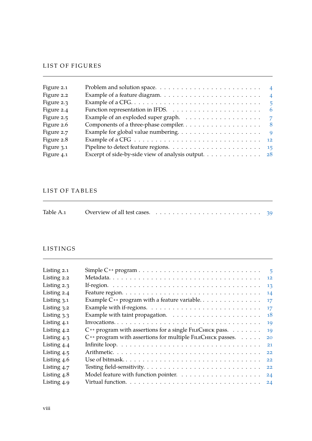#### LIST OF FIGURES

| Figure 2.1 | Problem and solution space. $\dots \dots \dots \dots \dots \dots \dots \dots \dots$                       |
|------------|-----------------------------------------------------------------------------------------------------------|
| Figure 2.2 | Example of a feature diagram. $\ldots \ldots \ldots \ldots \ldots \ldots \ldots$                          |
| Figure 2.3 | - 5                                                                                                       |
| Figure 2.4 | Function representation in IFDS. $\ldots \ldots \ldots \ldots \ldots \ldots \ldots \ldots$                |
| Figure 2.5 | Example of an exploded super graph. $\ldots \ldots \ldots \ldots \ldots$                                  |
| Figure 2.6 |                                                                                                           |
| Figure 2.7 | Example for global value numbering. $\dots \dots \dots \dots \dots \dots \dots$ 9                         |
| Figure 2.8 | Example of a CFG $\ldots \ldots \ldots \ldots \ldots \ldots \ldots \ldots \ldots \ldots \ldots \ldots$ 12 |
| Figure 3.1 | Pipeline to detect feature regions. $\ldots \ldots \ldots \ldots \ldots \ldots \ldots \ldots \ldots$      |
| Figure 4.1 | Excerpt of side-by-side view of analysis output. 28                                                       |
|            |                                                                                                           |

#### LIST OF TABLES

|  | Table A.1 Overview of all test cases. $\ldots \ldots \ldots \ldots \ldots \ldots \ldots \ldots \ldots$ 39 |  |  |  |  |  |  |  |  |  |  |  |  |  |  |  |  |  |  |  |  |  |  |  |  |
|--|-----------------------------------------------------------------------------------------------------------|--|--|--|--|--|--|--|--|--|--|--|--|--|--|--|--|--|--|--|--|--|--|--|--|
|--|-----------------------------------------------------------------------------------------------------------|--|--|--|--|--|--|--|--|--|--|--|--|--|--|--|--|--|--|--|--|--|--|--|--|

#### LISTINGS

| Listing 2.1   |                                                                                        | $-5$    |
|---------------|----------------------------------------------------------------------------------------|---------|
| Listing 2.2   |                                                                                        | 12      |
| Listing $2.3$ |                                                                                        | 13      |
| Listing 2.4   |                                                                                        | 14      |
| Listing $3.1$ |                                                                                        | $17 \,$ |
| Listing 3.2   | Example with if-regions. $\dots \dots \dots \dots \dots \dots \dots \dots \dots \dots$ | $17 \,$ |
| Listing $3.3$ |                                                                                        | 18      |
| Listing 4.1   |                                                                                        | 19      |
| Listing 4.2   | C++ program with assertions for a single FILECHECK pass.                               | 19      |
| Listing $4.3$ | C++ program with assertions for multiple FILECHECK passes.                             | 20      |
| Listing 4.4   |                                                                                        | 21      |
| Listing $4.5$ |                                                                                        | 22      |
| Listing 4.6   | Use of bitmask                                                                         | 22      |
| Listing 4.7   |                                                                                        | 22      |
| Listing $4.8$ |                                                                                        | 24      |
| Listing 4.9   |                                                                                        |         |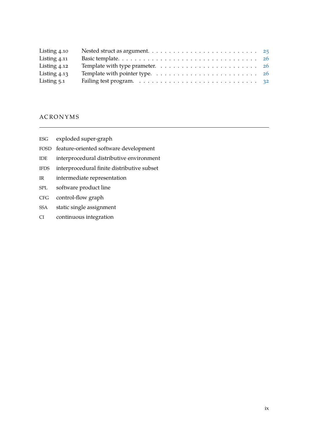| Listing 4.10   |                                                                                           |  |
|----------------|-------------------------------------------------------------------------------------------|--|
| Listing $4.11$ |                                                                                           |  |
| Listing 4.12   | Template with type prameter. $\ldots \ldots \ldots \ldots \ldots \ldots \ldots \ldots 26$ |  |
| Listing $4.13$ |                                                                                           |  |
| Listing $5.1$  |                                                                                           |  |

#### **ACRONYMS**

- <span id="page-8-6"></span>ESG exploded super-graph
- <span id="page-8-2"></span>FOSD feature-oriented software development
- <span id="page-8-0"></span>IDE interprocedural distributive environment
- <span id="page-8-5"></span>IFDS interprocedural finite distributive subset
- <span id="page-8-1"></span>IR intermediate representation
- <span id="page-8-3"></span>SPL software product line
- <span id="page-8-4"></span>CFG control-flow graph
- <span id="page-8-7"></span>SSA static single assignment
- <span id="page-8-8"></span>CI continuous integration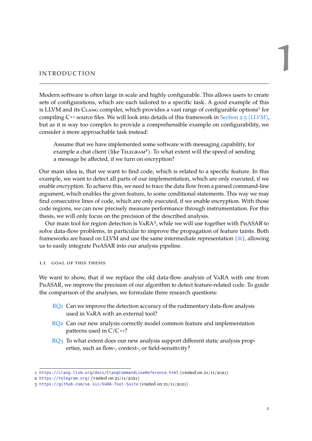# <span id="page-10-0"></span>INTRODUCTION

Modern software is often large in scale and highly configurable. This allows users to create sets of configurations, which are each tailored to a specific task. A good example of this is LLVM and its CLANG compiler, which provides a vast range of configurable options<sup>1</sup> for compiling C **++** source files. We will look into details of this framework in [Section 2.5 \(](#page-16-1)*LLVM*), but as it is way too complex to provide a comprehensible example on configurability, we consider a more approachable task instead:

Assume that we have implemented some software with messaging capability, for example a chat client (like TELEGRAM<sup>2</sup>). To what extent will the speed of sending a message be affected, if we turn on encryption?

Our main idea is, that we want to find code, which is related to a specific feature. In this example, we want to detect all parts of our implementation, which are only executed, if we enable encryption. To achieve this, we need to trace the data flow from a parsed command-line argument, which enables the given feature, to some conditional statements. This way we may find consecutive lines of code, which are only executed, if we enable encryption. With those code regions, we can now precisely measure performance through instrumentation. For this thesis, we will only focus on the precision of the described analysis.

Our main tool for region detection is VARA<sup>3</sup>, while we will use together with PHASAR to solve data-flow problems, in particular to improve the propagation of feature taints. Both frameworks are based on LLVM and use the same intermediate representation  $(IR)$  $(IR)$  $(IR)$ , allowing us to easily integrate PhASAR into our analysis pipeline.

#### <span id="page-10-1"></span>1.1 goal of this thesis

We want to show, that if we replace the old data-flow analysis of VaRA with one from PhASAR, we improve the precision of our algorithm to detect feature-related code. To guide the comparison of the analyses, we formulate three research questions:

- $RQ<sub>1</sub>$  Can we improve the detection accuracy of the rudimentary data-flow analysis used in VaRA with an external tool?
- RQ<sub>2</sub> Can our new analysis correctly model common feature and implementation patterns used in  $C/C$  ++?
- $RQ<sub>3</sub>$  To what extent does our new analysis support different static analysis properties, such as flow-, context-, or field-sensitivity?

<sup>1</sup> <https://clang.llvm.org/docs/ClangCommandLineReference.html> (visited on 21/11/2021)

<sup>2</sup> <https://telegram.org/> (visited on 21/11/2021)

<sup>3</sup> <https://github.com/se-sic/VaRA-Tool-Suite> (visited on 21/11/2021)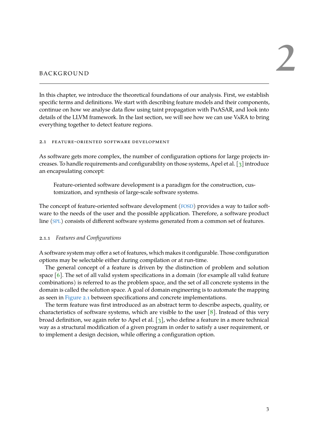#### <span id="page-12-0"></span>**BACKGROUND**

In this chapter, we introduce the theoretical foundations of our analysis. First, we establish specific terms and definitions. We start with describing feature models and their components, continue on how we analyse data flow using taint propagation with PhASAR, and look into details of the LLVM framework. In the last section, we will see how we can use VaRA to bring everything together to detect feature regions.

#### <span id="page-12-1"></span>2.1 feature-oriented software development

As software gets more complex, the number of configuration options for large projects increases. To handle requirements and configurability on those systems, Apel et al. [\[3\]](#page-50-1) introduce an encapsulating concept:

Feature-oriented software development is a paradigm for the construction, customization, and synthesis of large-scale software systems.

The concept of feature-oriented software development ([FOSD](#page-8-2)) provides a way to tailor software to the needs of the user and the possible application. Therefore, a software product line ([SPL](#page-8-3)) consists of different software systems generated from a common set of features.

#### <span id="page-12-2"></span>2.1.1 *Features and Configurations*

A software system may offer a set of features, which makes it configurable. Those configuration options may be selectable either during compilation or at run-time.

The general concept of a feature is driven by the distinction of problem and solution space [\[6\]](#page-50-2). The set of all valid system specifications in a domain (for example all valid feature combinations) is referred to as the problem space, and the set of all concrete systems in the domain is called the solution space. A goal of domain engineering is to automate the mapping as seen in [Figure 2.1](#page-13-1) between specifications and concrete implementations.

The term feature was first introduced as an abstract term to describe aspects, quality, or characteristics of software systems, which are visible to the user  $[8]$ . Instead of this very broad definition, we again refer to Apel et al. [\[3\]](#page-50-1), who define a feature in a more technical way as a structural modification of a given program in order to satisfy a user requirement, or to implement a design decision, while offering a configuration option.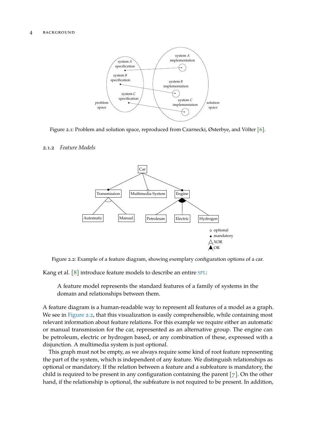<span id="page-13-1"></span>

Figure 2.1: Problem and solution space, reproduced from Czarnecki, Østerbye, and Völter [\[6\]](#page-50-2).

#### <span id="page-13-2"></span><span id="page-13-0"></span>2.1.2 *Feature Models*



Figure 2.2: Example of a feature diagram, showing exemplary configuration options of a car.

Kang et al. [\[8\]](#page-50-3) introduce feature models to describe an entire [SPL](#page-8-3):

A feature model represents the standard features of a family of systems in the domain and relationships between them.

A feature diagram is a human-readable way to represent all features of a model as a graph. We see in [Figure 2.2,](#page-13-2) that this visualization is easily comprehensible, while containing most relevant information about feature relations. For this example we require either an automatic or manual transmission for the car, represented as an alternative group. The engine can be petroleum, electric or hydrogen based, or any combination of these, expressed with a disjunction. A multimedia system is just optional.

This graph must not be empty, as we always require some kind of root feature representing the part of the system, which is independent of any feature. We distinguish relationships as optional or mandatory. If the relation between a feature and a subfeature is mandatory, the child is required to be present in any configuration containing the parent  $[7]$ . On the other hand, if the relationship is optional, the subfeature is not required to be present. In addition,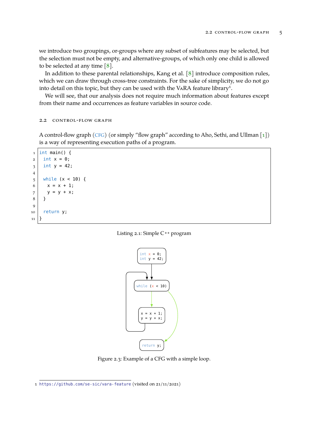we introduce two groupings, or-groups where any subset of subfeatures may be selected, but the selection must not be empty, and alternative-groups, of which only one child is allowed to be selected at any time  $[8]$ .

In addition to these parental relationships, Kang et al. [\[8\]](#page-50-3) introduce composition rules, which we can draw through cross-tree constraints. For the sake of simplicity, we do not go into detail on this topic, but they can be used with the VARA feature library<sup>1</sup>.

We will see, that our analysis does not require much information about features except from their name and occurrences as feature variables in source code.

<span id="page-14-0"></span>2.2 control-flow graph

A control-flow graph ([CFG](#page-8-4)) (or simply "flow graph" according to Aho, Sethi, and Ullman [\[1\]](#page-50-5)) is a way of representing execution paths of a program.

```
1 \mid \text{int } \text{main}() \mid2 \int \int \frac{\pi}{1} \, dx = 0;
3 \mid \text{int } y = 42;4
5 while (x < 10) {
6 x = x + 1;7 y = y + x;
8 }
9
10 return y;
11}
```
<span id="page-14-1"></span>



Figure 2.3: Example of a CFG with a simple loop.

<sup>1</sup> <https://github.com/se-sic/vara-feature> (visited on 21/11/2021)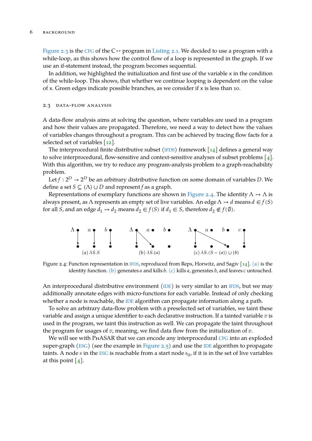[Figure 2.3](#page-14-1) is the [CFG](#page-8-4) of the C<sup>++</sup> program in [Listing 2.1.](#page-14-2) We decided to use a program with a while-loop, as this shows how the control flow of a loop is represented in the graph. If we use an if-statement instead, the program becomes sequential.

In addition, we highlighted the initialization and first use of the variable x in the condition of the while-loop. This shows, that whether we continue looping is dependent on the value of x. Green edges indicate possible branches, as we consider if x is less than 10.

#### <span id="page-15-0"></span>2.3 data-flow analysis

A data-flow analysis aims at solving the question, where variables are used in a program and how their values are propagated. Therefore, we need a way to detect how the values of variables changes throughout a program. This can be achieved by tracing flow facts for a selected set of variables [\[12\]](#page-50-6).

The interprocedural finite distributive subset ([IFDS](#page-8-5)) framework  $\lceil 14 \rceil$  defines a general way to solve interprocedural, flow-sensitive and context-sensitive analyses of subset problems [\[4\]](#page-50-8). With this algorithm, we try to reduce any program-analysis problem to a graph-reachability problem.

Let  $f: 2^D \rightarrow 2^D$  be an arbitrary distributive function on some domain of variables D. We define a set  $S \subseteq \{\Lambda\} \cup D$  and represent f as a graph.

Representations of exemplary functions are shown in [Figure 2.4.](#page-15-1) The identity  $\Lambda \mapsto \Lambda$  is always present, as  $\Lambda$  represents an empty set of live variables. An edge  $\Lambda \mapsto d$  means  $d \in f(S)$ for all *S*, and an edge  $d_1 \mapsto d_2$  means  $d_2 \in f(S)$  if  $d_1 \in S$ , therefore  $d_2 \notin f(\emptyset)$ .

<span id="page-15-4"></span><span id="page-15-3"></span><span id="page-15-2"></span><span id="page-15-1"></span>

Figure 2.4: Function representation in [IFDS](#page-8-5), reproduced from Reps, Horwitz, and Sagiv [\[14\]](#page-50-7). [\(a\)](#page-15-2) is the identity function. [\(b\)](#page-15-3) generates  $a$  and kills  $b$ . [\(c\)](#page-15-4) kills  $a$ , generates  $b$ , and leaves  $c$  untouched.

An interprocedural distributive environment ([IDE](#page-8-0)) is very similar to an [IFDS](#page-8-5), but we may additionally annotate edges with micro-functions for each variable. Instead of only checking whether a node is reachable, the [IDE](#page-8-0) algorithm can propagate information along a path.

To solve an arbitrary data-flow problem with a preselected set of variables, we taint these variable and assign a unique identifier to each declarative instruction. If a tainted variable  $v$  is used in the program, we taint this instruction as well. We can propagate the taint throughout the program for usages of  $v$ , meaning, we find data flow from the initialization of  $v$ .

We will see with PHASAR that we can encode any interprocedural [CFG](#page-8-4) into an exploded super-graph ( $ESG$ ) (see the example in [Figure 2.5\)](#page-16-2) and use the [IDE](#page-8-0) algorithm to propagate taints. A node  $s$  in the [ESG](#page-8-6) is reachable from a start node  $s_0$ , if it is in the set of live variables at this point  $[4]$ .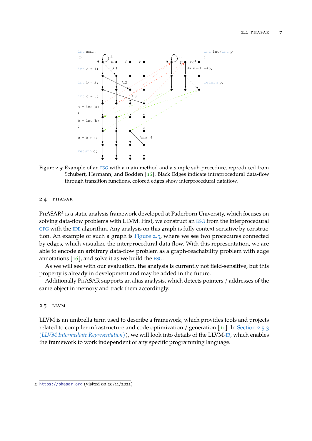<span id="page-16-2"></span>

Figure 2.5: Example of an [ESG](#page-8-6) with a main method and a simple sub-procedure, reproduced from Schubert, Hermann, and Bodden [\[16\]](#page-51-0). Black Edges indicate intraprocedural data-flow through transition functions, colored edges show interprocedural dataflow.

#### <span id="page-16-0"></span>2.4 phasar

PHASAR<sup>2</sup> is a static analysis framework developed at Paderborn University, which focuses on solving data-flow problems with LLVM. First, we construct an [ESG](#page-8-6) from the interprocedural [CFG](#page-8-4) with the [IDE](#page-8-0) algorithm. Any analysis on this graph is fully context-sensitive by construction. An example of such a graph is [Figure 2.5,](#page-16-2) where we see two procedures connected by edges, which visualize the interprocedural data flow. With this representation, we are able to encode an arbitrary data-flow problem as a graph-reachability problem with edge annotations  $[16]$ , and solve it as we build the [ESG](#page-8-6).

As we will see with our evaluation, the analysis is currently not field-sensitive, but this property is already in development and may be added in the future.

Additionally PhASAR supports an alias analysis, which detects pointers / addresses of the same object in memory and track them accordingly.

#### <span id="page-16-1"></span>2.5 llvm

LLVM is an umbrella term used to describe a framework, which provides tools and projects related to compiler infrastructure and code optimization / generation  $\lceil$ 11]. In [Section 2.5.3](#page-17-2) (*[LLVM Intermediate Representation](#page-17-2)*)), we will look into details of the LLVM-[IR](#page-8-1), which enables the framework to work independent of any specific programming language.

<sup>2</sup> <https://phasar.org> (visited on 20/11/2021)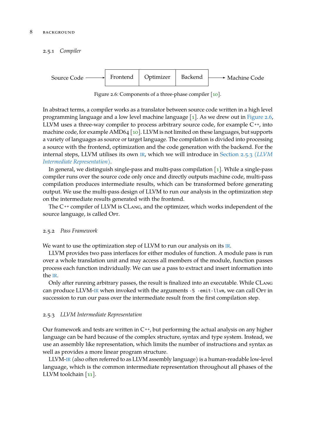<span id="page-17-0"></span>2.5.1 *Compiler*

<span id="page-17-3"></span>

Figure 2.6: Components of a three-phase compiler [\[10\]](#page-50-10).

In abstract terms, a compiler works as a translator between source code written in a high level programming language and a low level machine language  $\lceil 1 \rceil$ . As we drew out in [Figure 2.6,](#page-17-3) LLVM uses a three-way compiler to process arbitrary source code, for example  $C^{++}$ , into machine code, for example AMD64 [\[10\]](#page-50-10). LLVM is not limited on these languages, but supports a variety of languages as source or target language. The compilation is divided into processing a source with the frontend, optimization and the code generation with the backend. For the internal steps, LLVM utilises its own [IR](#page-8-1), which we will introduce in [Section 2.5.3 \(](#page-17-2)*LLVM [Intermediate Representation](#page-17-2)*).

In general, we distinguish single-pass and multi-pass compilation [\[1\]](#page-50-5). While a single-pass compiler runs over the source code only once and directly outputs machine code, multi-pass compilation produces intermediate results, which can be transformed before generating output. We use the multi-pass design of LLVM to run our analysis in the optimization step on the intermediate results generated with the frontend.

The C<sup>++</sup> compiler of LLVM is CLANG, and the optimizer, which works independent of the source language, is called OPT.

#### <span id="page-17-1"></span>2.5.2 *Pass Framework*

We want to use the optimization step of LLVM to run our analysis on its [IR](#page-8-1).

LLVM provides two pass interfaces for either modules of function. A module pass is run over a whole translation unit and may access all members of the module, function passes process each function individually. We can use a pass to extract and insert information into the [IR](#page-8-1).

Only after running arbitrary passes, the result is finalized into an executable. While CLang can produce LLVM-[IR](#page-8-1) when invoked with the arguments -S -emit-llvm, we can call Opt in succession to run our pass over the intermediate result from the first compilation step.

#### <span id="page-17-2"></span>2.5.3 *LLVM Intermediate Representation*

Our framework and tests are written in C **++**, but performing the actual analysis on any higher language can be hard because of the complex structure, syntax and type system. Instead, we use an assembly like representation, which limits the number of instructions and syntax as well as provides a more linear program structure.

LLVM-[IR](#page-8-1) (also often referred to as LLVM assembly language) is a human-readable low-level language, which is the common intermediate representation throughout all phases of the LLVM toolchain [\[11\]](#page-50-9).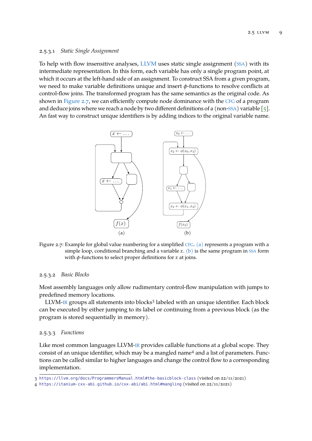#### 2.5.3.1 *Static Single Assignment*

To help with flow insensitive analyses, [LLVM](#page-16-1) uses static single assignment ([SSA](#page-8-7)) with its intermediate representation. In this form, each variable has only a single program point, at which it occurs at the left-hand side of an assignment. To construct SSA from a given program, we need to make variable definitions unique and insert  $\phi$ -functions to resolve conflicts at control-flow joins. The transformed program has the same semantics as the original code. As shown in [Figure 2.7,](#page-18-0) we can efficiently compute node dominance with the [CFG](#page-8-4) of a program and deduce joins where we reach a node by two different definitions of a (non-[SSA](#page-8-7)) variable  $\lceil 5 \rceil$ . An fast way to construct unique identifiers is by adding indices to the original variable name.

<span id="page-18-2"></span><span id="page-18-1"></span><span id="page-18-0"></span>

Figure 2.7: Example for global value numbering for a simplified [CFG](#page-8-4). [\(a\)](#page-18-1) represents a program with a simple loop, conditional branching and a variable  $x$ . [\(b\)](#page-18-2) is the same program in [SSA](#page-8-7) form with  $\phi$ -functions to select proper definitions for *x* at joins.

#### 2.5.3.2 *Basic Blocks*

Most assembly languages only allow rudimentary control-flow manipulation with jumps to predefined memory locations.

LLVM-[IR](#page-8-1) groups all statements into blocks<sup>3</sup> labeled with an unique identifier. Each block can be executed by either jumping to its label or continuing from a previous block (as the program is stored sequentially in memory).

#### 2.5.3.3 *Functions*

Like most common languages LLVM-[IR](#page-8-1) provides callable functions at a global scope. They consist of an unique identifier, which may be a mangled name<sup>4</sup> and a list of parameters. Functions can be called similar to higher languages and change the control flow to a corresponding implementation.

<sup>3</sup> <https://llvm.org/docs/ProgrammersManual.html#the-basicblock-class> (visited on 22/11/2021)

<sup>4</sup> <https://itanium-cxx-abi.github.io/cxx-abi/abi.html#mangling> (visited on 22/11/2021)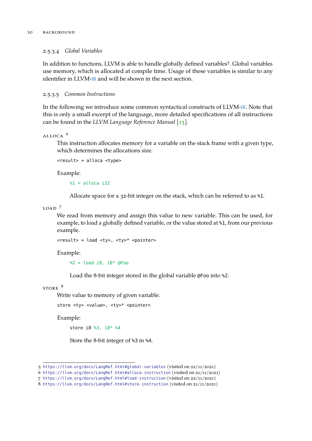#### 2.5.3.4 *Global Variables*

In addition to functions, LLVM is able to handle globally defined variables<sup>5</sup>. Global variables use memory, which is allocated at compile time. Usage of these variables is similar to any identifier in LLVM-[IR](#page-8-1) and will be shown in the next section.

#### 2.5.3.5 *Common Instructions*

In the following we introduce some common syntactical constructs of LLVM-[IR](#page-8-1). Note that this is only a small excerpt of the language, more detailed specifications of all instructions can be found in the *LLVM Language Reference Manual* [\[13\]](#page-50-12).

#### $ALLOCA$ <sup>6</sup>

This instruction allocates memory for a variable on the stack frame with a given type, which determines the allocations size.

```
<result> = alloca <type>
```
Example:

 $\$1 =$ alloca i32

Allocate space for a 32-bit integer on the stack, which can be referred to as %1.

LOAD<sup>7</sup>

We read from memory and assign this value to new variable. This can be used, for example, to load a globally defined variable, or the value stored at %1, from our previous example.

<result> = load <ty>, <ty>\* <pointer>

Example:

 $\textdegree 2 = \textdegree \textdegree 18$ , i $\textdegree 8$   $\textdegree \textdegree 6$   $\textdegree$ 

Load the 8-bit integer stored in the global variable @Foo into %2.

store <sup>8</sup>

Write value to memory of given variable.

```
store <ty> <value>, <ty>* <pointer>
```
Example:

store i8 %3, i8\* %4

Store the 8-bit integer of %3 in %4.

<sup>5</sup> <https://llvm.org/docs/LangRef.html#global-variables> (visited on 22/11/2021)

<sup>6</sup> <https://llvm.org/docs/LangRef.html#alloca-instruction> (visited on 21/11/2021)

<sup>7</sup> <https://llvm.org/docs/LangRef.html#load-instruction> (visited on 22/11/2021)

<sup>8</sup> <https://llvm.org/docs/LangRef.html#store-instruction> (visited on 21/11/2021)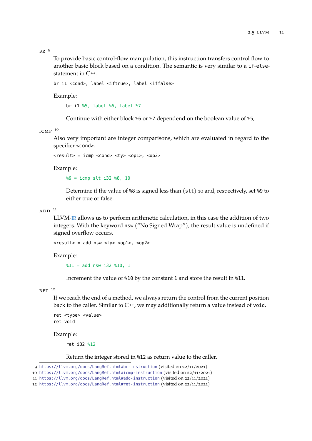$BR<sup>9</sup>$ 

To provide basic control-flow manipulation, this instruction transfers control flow to another basic block based on a condition. The semantic is very similar to a if-elsestatement in  $C^{++}$ .

br i1 <cond>, label <iftrue>, label <iffalse>

Example:

br i1 %5, label %6, label %7

Continue with either block %6 or %7 dependend on the boolean value of %5,

ICMP  $10$ 

Also very important are integer comparisons, which are evaluated in regard to the specifier <cond>.

<result> = icmp <cond> <ty> <op1>, <op2>

Example:

%9 = icmp slt i32 %8, 10

Determine if the value of %8 is signed less than (slt) 10 and, respectively, set %9 to either true or false.

 $ADD$ <sup>11</sup>

LLVM-[IR](#page-8-1) allows us to perform arithmetic calculation, in this case the addition of two integers. With the keyword nsw ("No Signed Wrap"), the result value is undefined if signed overflow occurs.

<result> = add nsw <ty> <op1>, <op2>

Example:

 $\$11 =$  add nsw i32  $\$10$ , 1

Increment the value of %10 by the constant 1 and store the result in %11.

 $RET$ <sup>12</sup>

If we reach the end of a method, we always return the control from the current position back to the caller. Similar to C<sup>++</sup>, we may additionally return a value instead of void.

ret <type> <value> ret void

Example:

ret i32 %12

Return the integer stored in %12 as return value to the caller.

<sup>9</sup> <https://llvm.org/docs/LangRef.html#br-instruction> (visited on 22/11/2021)

<sup>10</sup> <https://llvm.org/docs/LangRef.html#icmp-instruction> (visited on 22/11/2021)

<sup>11</sup> <https://llvm.org/docs/LangRef.html#add-instruction> (visited on 22/11/2021)

<sup>12</sup> <https://llvm.org/docs/LangRef.html#ret-instruction> (visited on 22/11/2021)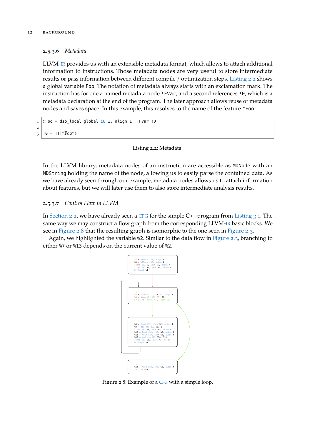#### 2.5.3.6 *Metadata*

LLVM-[IR](#page-8-1) provides us with an extensible metadata format, which allows to attach additional information to instructions. Those metadata nodes are very useful to store intermediate results or pass information between different compile / optimization steps. [Listing 2.2](#page-21-1) shows a global variable Foo. The notation of metadata always starts with an exclamation mark. The instruction has for one a named metadata node !FVar, and a second references !0, which is a metadata declaration at the end of the program. The later approach allows reuse of metadata nodes and saves space. In this example, this resolves to the name of the feature "Foo".

```
1 \vert \mathbb{O}Foo = dso_local global i8 1, align 1, !FVar !0
2
3 \mid 0 = 1 {!"Foo"}
```
Listing 2.2: Metadata.

In the LLVM library, metadata nodes of an instruction are accessible as MDNode with an MDString holding the name of the node, allowing us to easily parse the contained data. As we have already seen through our example, metadata nodes allows us to attach information about features, but we will later use them to also store intermediate analysis results.

#### 2.5.3.7 *Control Flow in LLVM*

In [Section 2.2,](#page-14-0) we have already seen a [CFG](#page-8-4) for the simple C **++**-program from [Listing 3.1.](#page-26-1) The same way we may construct a flow graph from the corresponding LLVM-[IR](#page-8-1) basic blocks. We see in [Figure 2.8](#page-21-0) that the resulting graph is isomorphic to the one seen in [Figure 2.3.](#page-14-1)

<span id="page-21-0"></span>Again, we highlighted the variable %2. Similar to the data flow in [Figure 2.3,](#page-14-1) branching to either %7 or %13 depends on the current value of %2.



Figure 2.8: Example of a [CFG](#page-8-4) with a simple loop.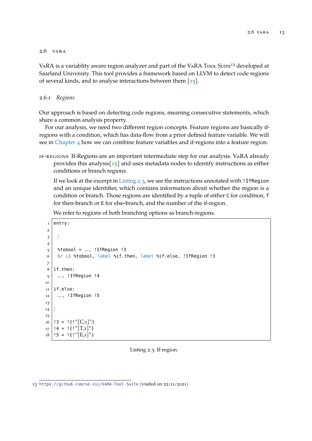#### <span id="page-22-0"></span>2.6 vara

VARA is a variablity aware region analyzer and part of the VARA Tool Surre<sup>13</sup> developed at Saarland University. This tool provides a framework based on LLVM to detect code regions of several kinds, and to analyse interactions between them  $\lceil 15 \rceil$ .

#### <span id="page-22-1"></span>2.6.1 *Regions*

Our approach is based on detecting code regions, meaning consecutive statements, which share a common analysis property.

For our analysis, we need two different region concepts. Feature regions are basically ifregions with a condition, which has data-flow from a prior defined feature variable. We will see in [Chapter 4](#page-28-0) how we can combine feature variables and if-regions into a feature region.

if-regions If-Regions are an important intermediate step for our analysis. VaRA already provides this analysis $\lceil 15 \rceil$  and uses metadata nodes to identify instructions as either conditions or branch regions.

If we look at the excerpt in [Listing 2.3,](#page-22-2) we see the instructions annotated with !IfRegion and an unique identifier, which contains information about whether the region is a condition or branch. Those regions are identified by a tuple of either C for condition, T for then-branch or E for else-branch, and the number of the if-region.

We refer to regions of both branching options as branch-regions.

```
1 entry:
2
3 \vdots4
5 \mid %tobool = ..., !IfRegion !3
6 br il %tobool, label %if.then, label %if.else, !IfRegion !3
7
8 \mid \text{if.then:}9 \mid ..., !IfRegion !4
10
11 if.else:
12 …, !IfRegion !5
13
14 :
15
_{16} | !3 = !\{!''[C,1]''}
_{17} | !4 = !{!''[T,1]''}
18 | !5 = !\{!''[E,1]''}
```
#### Listing 2.3: If-region.

<sup>13</sup> <https://github.com/se-sic/VaRA-Tool-Suite> (visited on 22/11/2021)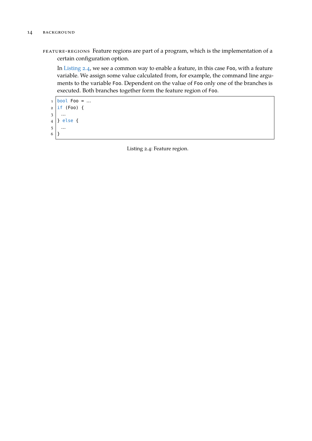feature-regions Feature regions are part of a program, which is the implementation of a certain configuration option.

In [Listing 2.4,](#page-23-0) we see a common way to enable a feature, in this case Foo, with a feature variable. We assign some value calculated from, for example, the command line arguments to the variable Foo. Dependent on the value of Foo only one of the branches is executed. Both branches together form the feature region of Foo.

```
1 bool Foo = ...
2 \mid \text{if (FoO)} \mid3 …
4 } else {
5 …
6 }
```
Listing 2.4: Feature region.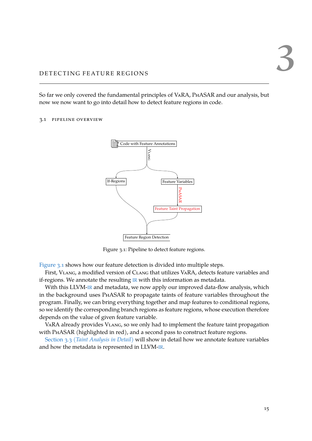# <span id="page-24-0"></span>DETECTING FEATURE REGIONS

So far we only covered the fundamental principles of VaRA, PhASAR and our analysis, but now we now want to go into detail how to detect feature regions in code.

#### <span id="page-24-2"></span><span id="page-24-1"></span>3.1 pipeline overview



Figure 3.1: Pipeline to detect feature regions.

[Figure 3.1](#page-24-2) shows how our feature detection is divided into multiple steps.

First, VLANG, a modified version of CLANG that utilizes VARA, detects feature variables and if-regions. We annotate the resulting  $IR$  with this information as metadata.

With this LLVM-[IR](#page-8-1) and metadata, we now apply our improved data-flow analysis, which in the background uses PhASAR to propagate taints of feature variables throughout the program. Finally, we can bring everything together and map features to conditional regions, so we identify the corresponding branch regions as feature regions, whose execution therefore depends on the value of given feature variable.

VARA already provides VLANG, so we only had to implement the feature taint propagation with PhASAR (highlighted in red), and a second pass to construct feature regions.

Section 3.3 (*[Taint Analysis in Detail](#page-26-0)*) will show in detail how we annotate feature variables and how the metadata is represented in LLVM-[IR](#page-8-1).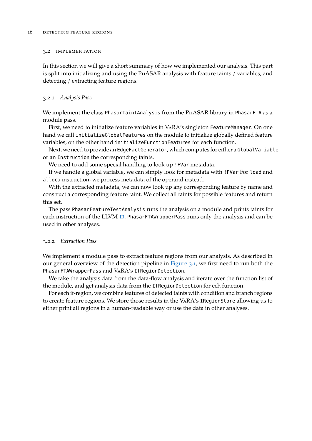#### <span id="page-25-0"></span>3.2 implementation

In this section we will give a short summary of how we implemented our analysis. This part is split into initializing and using the PhASAR analysis with feature taints / variables, and detecting / extracting feature regions.

#### <span id="page-25-1"></span>3.2.1 *Analysis Pass*

We implement the class PhasarTaintAnalysis from the PhASAR library in PhasarFTA as a module pass.

First, we need to initialize feature variables in VaRA's singleton FeatureManager. On one hand we call initializeGlobalFeatures on the module to initialize globally defined feature variables, on the other hand initializeFunctionFeatures for each function.

Next, we need to provide an EdgeFactGenerator, which computes for either a GlobalVariable or an Instruction the corresponding taints.

We need to add some special handling to look up !FVar metadata.

If we handle a global variable, we can simply look for metadata with !FVar For load and alloca instruction, we process metadata of the operand instead.

With the extracted metadata, we can now look up any corresponding feature by name and construct a corresponding feature taint. We collect all taints for possible features and return this set.

The pass PhasarFeatureTestAnalysis runs the analysis on a module and prints taints for each instruction of the LLVM-[IR](#page-8-1). PhasarFTAWrapperPass runs only the analysis and can be used in other analyses.

#### <span id="page-25-2"></span>3.2.2 *Extraction Pass*

We implement a module pass to extract feature regions from our analysis. As described in our general overview of the detection pipeline in [Figure 3.1,](#page-24-2) we first need to run both the PhasarFTAWrapperPass and VaRA's IfRegionDetection.

We take the analysis data from the data-flow analysis and iterate over the function list of the module, and get analysis data from the IfRegionDetection for ech function.

For each if-region, we combine features of detected taints with condition and branch regions to create feature regions. We store those results in the VaRA's IRegionStore allowing us to either print all regions in a human-readable way or use the data in other analyses.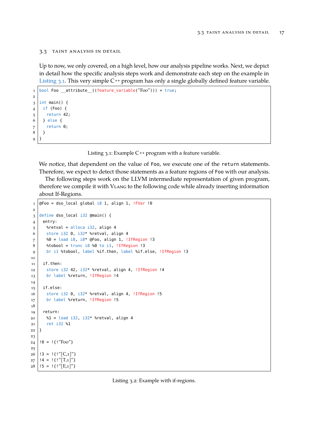#### <span id="page-26-0"></span>3.3 taint analysis in detail

Up to now, we only covered, on a high level, how our analysis pipeline works. Next, we depict in detail how the specific analysis steps work and demonstrate each step on the example in [Listing 3.1.](#page-26-1) This very simple C<sup>++</sup> program has only a single globally defined feature variable.

```
1 | bool Foo __attribute_((feature_variable("Foo"))) = true;
2
3 \mid \text{int main()} {
4 if (Foo) {
5 return 42;
6 } else {
7 return 0;
8 }
9 }
```

```
Listing 3.1: Example C ++ program with a feature variable.
```
We notice, that dependent on the value of Foo, we execute one of the return statements. Therefore, we expect to detect those statements as a feature regions of Foo with our analysis.

The following steps work on the LLVM intermediate representation of given program, therefore we compile it with Vlang to the following code while already inserting information about If-Regions.

```
1 \vert \overline{Q}Foo = dso_local global i8 1, align 1, !FVar !0
2
3 define dso_local i32 @main() {
4 entry:
5 %retval = alloca i32, align 4
6 store i32 0, i32* %retval, align 4
7 %0 = load i8, i8* @Foo, align 1, !IfRegion !3
8 %tobool = trunc i8 %0 to i1, !IfRegion !3
9 br il %tobool, label %if.then, label %if.else, !IfRegion !3
10
11 if.then:
12 store i32 42, i32* %retval, align 4, !IfRegion !4
13 br label %return, !IfRegion !4
14
15 if.else:
16 store i32 0, i32* %retval, align 4, !IfRegion !5
17 br label %return, !IfRegion !5
18
19 return:
20 \mid 81 = load i32, i32* %retval, align 4
21 ret i32 %1
22 }
23
24 | !0 = !{!"Foo"}
25
26 | !3 = !\{!''[C,1]''}
27 | !4 = !{!"[T,1]"}
28 | !5 = !{!"[E,1]"}
```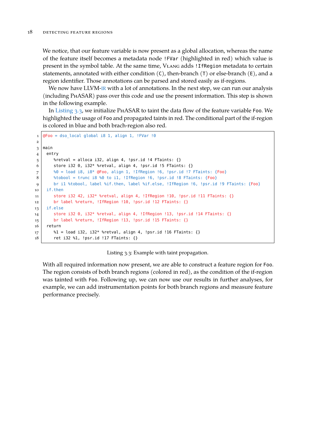We notice, that our feature variable is now present as a global allocation, whereas the name of the feature itself becomes a metadata node !FVar (highlighted in red) which value is present in the symbol table. At the same time, Vlang adds !IfRegion metadata to certain statements, annotated with either condition  $(C)$ , then-branch  $(T)$  or else-branch  $(E)$ , and a region identifier. Those annotations can be parsed and stored easily as if-regions.

We now have LLVM-[IR](#page-8-1) with a lot of annotations. In the next step, we can run our analysis (including PhASAR) pass over this code and use the present information. This step is shown in the following example.

In [Listing 3.3,](#page-27-0) we initialize PhASAR to taint the data flow of the feature variable Foo. We highlighted the usage of Foo and propagated taints in red. The conditional part of the if-region is colored in blue and both brach-region also red.

```
1 \overline{6} = dso local global i8 1, align 1, !FVar !0
\overline{2}3 \mid \text{main}4 entry
5 %retval = alloca i32, align 4, !psr.id !4 FTaints: {}
6 store i32 0, i32* %retval, align 4, !psr.id !5 FTaints: {}
7 \approx 80 = load i8, i8* @Foo, align 1, !IfRegion !6, !psr.id !7 FTaints: {Foo}
8 \bullet *tobool = trunc i8 %0 to i1, !IfRegion !6, !psr.id !8 FTaints: {Foo}
9 br i1 %tobool, label %if.then, label %if.else, !IfRegion !6, !psr.id !9 FTaints: {Foo}
10 if.then
11 store i32 42, i32* %retval, align 4, !IfRegion !10, !psr.id !11 FTaints: {}
12 br label %return, !IfRegion !10, !psr.id !12 FTaints: {}
13 if.else
14 store i32 0, i32* %retval, align 4, !IfRegion !13, !psr.id !14 FTaints: {}
15 br label %return, !IfRegion !13, !psr.id !15 FTaints: {}
16 return
17 %1 = load i32, i32* %retval, align 4, !psr.id !16 FTaints: {}
18 ret i32 %1, !psr.id !17 FTaints: {}
```
Listing 3.3: Example with taint propagation.

With all required information now present, we are able to construct a feature region for Foo. The region consists of both branch regions (colored in red), as the condition of the if-region was tainted with Foo. Following up, we can now use our results in further analyses, for example, we can add instrumentation points for both branch regions and measure feature performance precisely.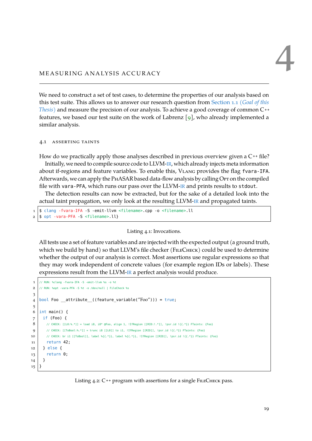# <span id="page-28-0"></span>MEASURING ANALYSIS ACCURACY

We need to construct a set of test cases, to determine the properties of our analysis based on this test suite. This allows us to answer our research question from [Section 1.1 \(](#page-10-1)*Goal of this [Thesis](#page-10-1)*) and measure the precision of our analysis. To achieve a good coverage of common C<sup>++</sup> features, we based our test suite on the work of Labrenz  $\lceil 9 \rceil$ , who already implemented a similar analysis.

#### <span id="page-28-1"></span>4.1 asserting taints

How do we practically apply those analyses described in previous overview given a C **++** file? Initially, we need to compile source code to LLVM-[IR](#page-8-1), which already injects meta information about if-regions and feature variables. To enable this, Vlang provides the flag fvara-IFA. Afterwards, we can apply the PHASAR based data-flow analysis by calling Opt on the compiled file with vara-PFA, which runs our pass over the LLVM-[IR](#page-8-1) and prints results to stdout.

The detection results can now be extracted, but for the sake of a detailed look into the actual taint propagation, we only look at the resulting LLVM-[IR](#page-8-1) and propagated taints.

```
1 \mid$ clang -fvara-IFA -S -emit-llvm <filename>.cpp -o <filename>.ll
2 \times 2 s opt -vara-PFA -S <filename>.ll}
```
#### Listing 4.1: Invocations.

All tests use a set of feature variables and are injected with the expected output (a ground truth, which we build by hand) so that LLVM's file checker (FILECHECK) could be used to determine whether the output of our analysis is correct. Most assertions use regular expressions so that they may work independent of concrete values (for example region IDs or labels). These expressions result from the LLVM-[IR](#page-8-1) a perfect analysis would produce.

```
1 // RUN: %clang -fvara-IFA -S -emit-llvm %s -o %t
 2 // RUN: %opt -vara-PFA -S %t -o /dev/null | FileCheck %s
 3
 4 \vert bool Foo __attribute_((feature_variable("Foo"))) = true;
 5
 6 \text{ int } \text{main}() {
7 if (Foo) {
8 // CHECK: [[L0:%,*]] = load 18, 18* @Food, align 1, !IfRegion [[RID:!.*]], !psr.id !({.}*)]  \nFinally, FTaints: {Foo}9 // CHECK: [[ToBool:%,*]] = trunc i8 [[L0]] to il, !IfRegion [[RID]], !psr.id !\{(-,*)\} FTaints: \{Foo\}10 // CHECK: br i1 [[ToBool]], label %{{.*}}, label %{{.*}}, !IfRegion [[RID]], !psr.id !{{.*}} FTaints: {Foo}
11 return 42;
12 } else {
13 return 0;
14 }
15 }
```
Listing 4.2: C<sup>++</sup> program with assertions for a single FILECHECK pass.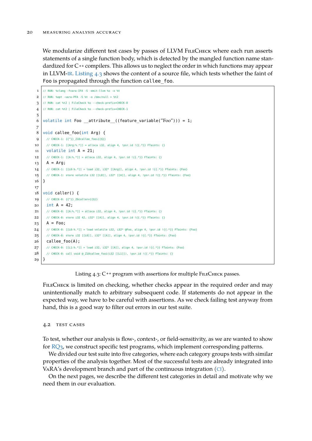We modularize different test cases by passes of LLVM FILECHECK where each run asserts statements of a single function body, which is detected by the mangled function name standardized for C **++** compilers. This allows us to neglect the order in which functions may appear in LLVM-[IR](#page-8-1). [Listing 4.3](#page-29-1) shows the content of a source file, which tests whether the faint of Foo is propagated through the function callee\_foo.

```
1 // RUN: %clang -fvara-IFA -S -emit-llvm %s -o %t
 2 // RUN: %opt -vara-PFA -S %t -o /dev/null > %t2
 3 // RUN: cat %t2 | FileCheck %s --check-prefix=CHECK-0
 4 // RUN: cat %t2 | FileCheck %s --check-prefix=CHECK-1
 5
 6 volatile int Foo __attribute_((feature_variable("Foo"))) = 1;
 7
 8 \vert void callee foo(int Arg) {
 9 // CHECK-1: {{^}}_Z10callee_fooi{{$}}
10 / // CHECK-1: [[Arg:%.*]] = alloca i32, align 4, !psr.id !{{.*}} FTaints: {}
11 volatile int A = 21;
12 // CHECK-1: [[A:\kappa,*]] = alloca i32, align 4, !psr.id !\{ \{\cdot,\cdot\} \} FTaints: \{\}13 A = Arg;
14 // CHECK-1: [[L0:%,*)] = load i32, i32* [[Arg]], align 4, !psr.id !({.}*)} FTaints: {Foo}
15 // CHECK-1: store volatile i32 [[L0]], i32* [[A]], align 4, !psr.id !{{.*}} FTaints: {Foo}
16}
17
18 \vert \text{void caller() } f10 // CHECK-0: \{I^{\wedge}\} Z6callery\{I\20 \int \, \text{int A} = 42;21 // CHECK-0: [(A:%,*)] = alloca i32, align 4, !psr.id !\{ {.*} \}} FTaints: {}
22 // CHECK-0: store i32 42, i32* [[A]], align 4, !psr.id !\{\{\cdot^*\}\}\ FTaints: {}
23 A = Foo;
24 // CHECK-0: [[L0:%,*)] = \text{load volatile i32, i32* } @\text{Foo, align 4, lpsr.id } {{(.*)}} FTaints: {Foo}
25 // CHECK-0: store i32 [[L0]], i32* [[A]], align 4, !psr.id !{{.*}} FTaints: {Foo}
26 callee foo(A);
27 // CHECK-0: [[L1:%.*]] = load i32, i32* [[A]], align 4, !psr.id !{{.*}} FTaints: {Foo}
28 // CHECK-0: call void @ Z10callee fooi(i32 [[L1]]), !psr.id !{{.*}} FTaints: {}
29 \mid}
```
Listing 4.3: C<sup>++</sup> program with assertions for multiple FILECHECK passes.

FILECHECK is limited on checking, whether checks appear in the required order and may unintentionally match to arbitrary subsequent code. If statements do not appear in the expected way, we have to be careful with assertions. As we check failing test anyway from hand, this is a good way to filter out errors in our test suite.

#### <span id="page-29-0"></span>4.2 test cases

To test, whether our analysis is flow-, context-, or field-sensitivity, as we are wanted to show for [RQ3,](#page-41-0) we construct specific test programs, which implement corresponding patterns.

We divided our test suite into five categories, where each category groups tests with similar properties of the analysis together. Most of the successful tests are already integrated into VaRA's development branch and part of the continuous integration ([CI](#page-8-8)).

On the next pages, we describe the different test categories in detail and motivate why we need them in our evaluation.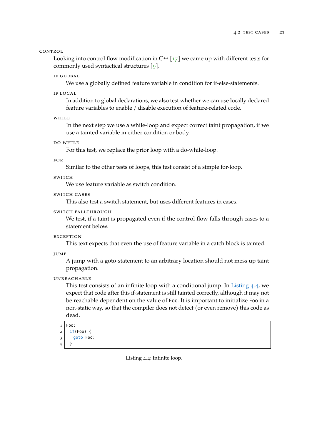CONTROL

Looking into control flow modification in  $C^{++}$  [\[17\]](#page-51-1) we came up with different tests for commonly used syntactical structures [\[9\]](#page-50-14).

#### if global

We use a globally defined feature variable in condition for if-else-statements.

if local

In addition to global declarations, we also test whether we can use locally declared feature variables to enable / disable execution of feature-related code.

while

In the next step we use a while-loop and expect correct taint propagation, if we use a tainted variable in either condition or body.

do while

For this test, we replace the prior loop with a do-while-loop.

for

Similar to the other tests of loops, this test consist of a simple for-loop.

switch

We use feature variable as switch condition.

switch cases

This also test a switch statement, but uses different features in cases.

#### switch fallthrough

We test, if a taint is propagated even if the control flow falls through cases to a statement below.

**EXCEPTION** 

This text expects that even the use of feature variable in a catch block is tainted.

```
jump
```
A jump with a goto-statement to an arbitrary location should not mess up taint propagation.

#### **UNREACHABLE**

This test consists of an infinite loop with a conditional jump. In [Listing 4.4,](#page-30-0) we expect that code after this if-statement is still tainted correctly, although it may not be reachable dependent on the value of Foo. It is important to initialize Foo in a non-static way, so that the compiler does not detect (or even remove) this code as dead.

```
1 Foo:
```

```
2 \mid if(Foo) \nvert3 goto Foo;
```

```
4 }
```
Listing 4.4: Infinite loop.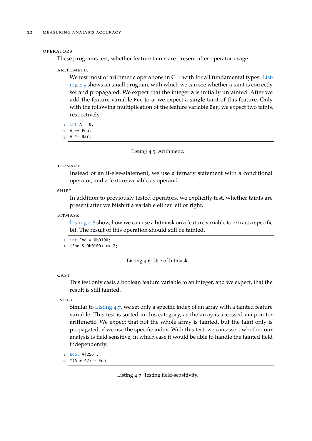#### operators

These programs test, whether feature taints are present after operator usage.

#### arithmetic

We test most of arithmetic operations in C<sup>++</sup> with for all fundamental types. [List](#page-31-0)[ing 4.5](#page-31-0) shows an small program, with which we can see whether a taint is correctly set and propagated. We expect that the integer a is initially untainted. After we add the feature variable Foo to a, we expect a single taint of this feature. Only with the following multiplication of the feature variable Bar, we expect two taints, respectively.

```
1 \text{ int } A = 0;
```
 $2$  A += Foo;

```
3 A *= Bar;
```
#### Listing 4.5: Arithmetic.

#### **TERNARY**

Instead of an if-else-statement, we use a ternary statement with a conditional operator, and a feature variable as operand.

**SHIFT** 

In addition to previously tested operators, we explicitly test, whether taints are present after we bitshift a variable either left or right.

#### bitmask

[Listing 4.6](#page-31-1) show, how we can use a bitmask on a feature variable to extract a specific bit. The result of this operation should still be tainted.

```
1 \text{ int } Foo = 0b0100;
```
 $2 | (Food & 0b0100) >> 2;$ 

Listing 4.6: Use of bitmask.

#### CAST

This test only casts a boolean feature variable to an integer, and we expect, that the result is still tainted.

#### <span id="page-31-3"></span>index

Similar to [Listing 4.7,](#page-31-2) we set only a specific index of an array with a tainted feature variable. This test is sorted in this category, as the array is accessed via pointer arithmetic. We expect that not the whole array is tainted, but the taint only is propagated, if we use the specific index. With this test, we can assert whether our analysis is field sensitive, in which case it would be able to handle the tainted field independently.

```
1 bool A[256];
```
 $2 \mid * (A + 42) = \text{Foo};$ 

Listing 4.7: Testing field-sensitivity.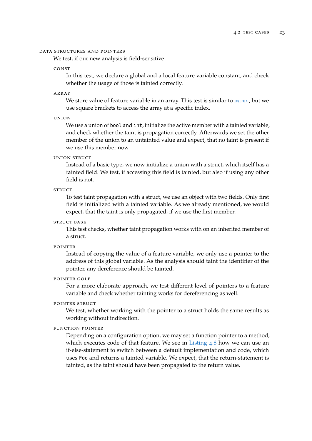#### data structures and pointers

We test, if our new analysis is field-sensitive.

#### <span id="page-32-0"></span>const

In this test, we declare a global and a local feature variable constant, and check whether the usage of those is tainted correctly.

#### array

We store value of feature variable in an array. This test is similar to **INDEX**, but we use square brackets to access the array at a specific index.

union

We use a union of bool and int, initialize the active member with a tainted variable, and check whether the taint is propagation correctly. Afterwards we set the other member of the union to an untainted value and expect, that no taint is present if we use this member now.

#### union struct

Instead of a basic type, we now initialize a union with a struct, which itself has a tainted field. We test, if accessing this field is tainted, but also if using any other field is not.

#### **STRUCT**

To test taint propagation with a struct, we use an object with two fields. Only first field is initialized with a tainted variable. As we already mentioned, we would expect, that the taint is only propagated, if we use the first member.

#### STRUCT BASE

This test checks, whether taint propagation works with on an inherited member of a struct.

pointer

Instead of copying the value of a feature variable, we only use a pointer to the address of this global variable. As the analysis should taint the identifier of the pointer, any dereference should be tainted.

#### pointer golf

For a more elaborate approach, we test different level of pointers to a feature variable and check whether tainting works for dereferencing as well.

#### pointer struct

We test, whether working with the pointer to a struct holds the same results as working without indirection.

#### function pointer

Depending on a configuration option, we may set a function pointer to a method, which executes code of that feature. We see in [Listing 4.8](#page-33-0) how we can use an if-else-statement to switch between a default implementation and code, which uses Foo and returns a tainted variable. We expect, that the return-statement is tainted, as the taint should have been propagated to the return value.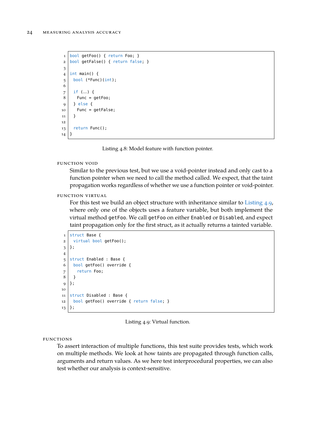```
1 bool getFoo() { return Foo; }
2 \text{ bool} getFalse() { return false; }
3
4 \mid int \text{ main()} \{5 bool (*Func)(int);
6
7 \mid if (...) {
8 Func = getFoo;
9 \mid \} else {
10 Func = getFalse;
11 \mid \}12
13 return Func();
14}
```
Listing 4.8: Model feature with function pointer.

```
function void
```
Similar to the previous test, but we use a void-pointer instead and only cast to a function pointer when we need to call the method called. We expect, that the taint propagation works regardless of whether we use a function pointer or void-pointer.

function virtual

For this test we build an object structure with inheritance similar to [Listing 4.9,](#page-33-1) where only one of the objects uses a feature variable, but both implement the virtual method getFoo. We call getFoo on either Enabled or Disabled, and expect taint propagation only for the first struct, as it actually returns a tainted variable.

```
1 struct Base {
2 \mid virtual bool getFoo();
3 };
4
5 Struct Enabled : Base {
6 bool getFoo() override {
7 return Foo;
8 }
9 | };
10
11 struct Disabled : Base {
12 bool getFoo() override { return false; }
13 };
```
Listing 4.9: Virtual function.

```
functions
```
To assert interaction of multiple functions, this test suite provides tests, which work on multiple methods. We look at how taints are propagated through function calls, arguments and return values. As we here test interprocedural properties, we can also test whether our analysis is context-sensitive.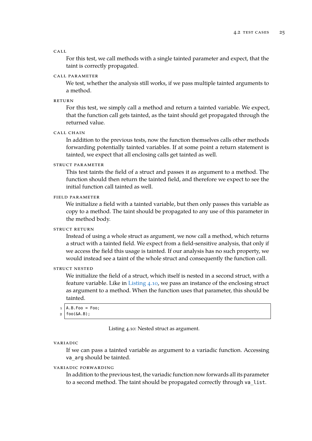#### call

For this test, we call methods with a single tainted parameter and expect, that the taint is correctly propagated.

#### call parameter

We test, whether the analysis still works, if we pass multiple tainted arguments to a method.

#### return

For this test, we simply call a method and return a tainted variable. We expect, that the function call gets tainted, as the taint should get propagated through the returned value.

call chain

In addition to the previous tests, now the function themselves calls other methods forwarding potentially tainted variables. If at some point a return statement is tainted, we expect that all enclosing calls get tainted as well.

#### struct parameter

This test taints the field of a struct and passes it as argument to a method. The function should then return the tainted field, and therefore we expect to see the initial function call tainted as well.

#### field parameter

We initialize a field with a tainted variable, but then only passes this variable as copy to a method. The taint should be propagated to any use of this parameter in the method body.

#### struct return

Instead of using a whole struct as argument, we now call a method, which returns a struct with a tainted field. We expect from a field-sensitive analysis, that only if we access the field this usage is tainted. If our analysis has no such property, we would instead see a taint of the whole struct and consequently the function call.

#### struct nested

We initialize the field of a struct, which itself is nested in a second struct, with a feature variable. Like in [Listing 4.10,](#page-34-0) we pass an instance of the enclosing struct as argument to a method. When the function uses that parameter, this should be tainted.

- <span id="page-34-0"></span> $1 \mid A.B.Foo = Foo$ :
- $2 | foo(\&A.B);$

Listing 4.10: Nested struct as argument.

#### variadic

If we can pass a tainted variable as argument to a variadic function. Accessing va arg should be tainted.

#### variadic forwarding

In addition to the previous test, the variadic function now forwards all its parameter to a second method. The taint should be propagated correctly through va\_list.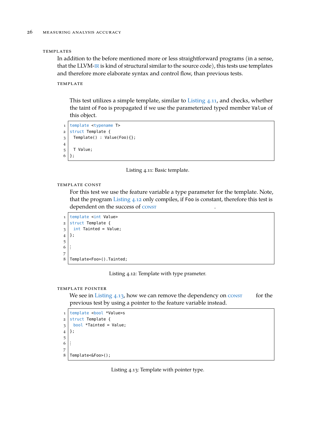#### **TEMPLATES**

In addition to the before mentioned more or less straightforward programs (in a sense, that the LLVM-[IR](#page-8-1) is kind of structural similar to the source code), this tests use templates and therefore more elaborate syntax and control flow, than previous tests.

#### **TEMPLATE**

This test utilizes a simple template, similar to [Listing 4.11,](#page-35-0) and checks, whether the taint of Foo is propagated if we use the parameterized typed member Value of this object.

```
1 template <typename T>
2 struct Template {
3 Template() : Value(Foo){};
4
5 T Value;
6 | };
```
Listing 4.11: Basic template.

template const

For this test we use the feature variable a type parameter for the template. Note, that the program [Listing 4.12](#page-35-1) only compiles, if Foo is constant, therefore this test is dependent on the success of [const](#page-32-0)

```
1 template <int Value>
2 \times 1 struct Template {
3 \mid int Tainted = Value;
4 };
5
6 :
7
8 Template<Foo>().Tainted;
```
Listing 4.12: Template with type prameter.

#### template pointer

We see in Listing  $4.13$ , how we can remove the dependency on  $\overline{\text{const}}$  $\overline{\text{const}}$  $\overline{\text{const}}$  for the previous test by using a pointer to the feature variable instead.

```
1 template <bool *Value>s
2 struct Template {
3 \mid bool *Tainted = Value;
4 };
5
6 :
7
8 Template<&Foo>();
```
Listing 4.13: Template with pointer type.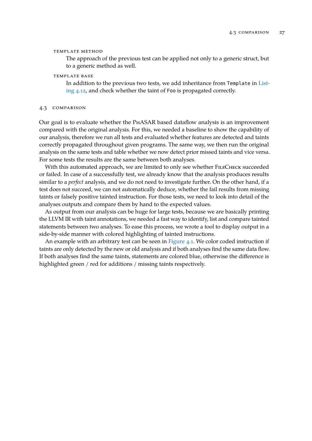#### template method

The approach of the previous test can be applied not only to a generic struct, but to a generic method as well.

#### TEMPLATE BASE

In addition to the previous two tests, we add inheritance from Template in [List](#page-35-1)[ing 4.12,](#page-35-1) and check whether the taint of Foo is propagated correctly.

#### <span id="page-36-0"></span>4.3 comparison

Our goal is to evaluate whether the PhASAR based dataflow analysis is an improvement compared with the original analysis. For this, we needed a baseline to show the capability of our analysis, therefore we run all tests and evaluated whether features are detected and taints correctly propagated throughout given programs. The same way, we then run the original analysis on the same tests and table whether we now detect prior missed taints and vice versa. For some tests the results are the same between both analyses.

With this automated approach, we are limited to only see whether FILECHECK succeeded or failed. In case of a successfully test, we already know that the analysis produces results similar to a *perfect* analysis, and we do not need to investigate further. On the other hand, if a test does not succeed, we can not automatically deduce, whether the fail results from missing taints or falsely positive tainted instruction. For those tests, we need to look into detail of the analyses outputs and compare them by hand to the expected values.

As output from our analysis can be huge for large tests, because we are basically printing the LLVM IR with taint annotations, we needed a fast way to identify, list and compare tainted statements between two analyses. To ease this process, we wrote a tool to display output in a side-by-side manner with colored highlighting of tainted instructions.

An example with an arbitrary test can be seen in  $Figure 4.1$ . We color coded instruction if taints are only detected by the new or old analysis and if both analyses find the same data flow. If both analyses find the same taints, statements are colored blue, otherwise the difference is highlighted green / red for additions / missing taints respectively.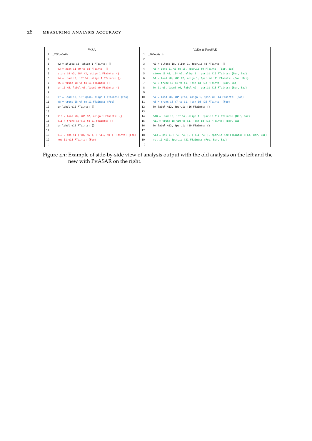<span id="page-37-0"></span>

|                | <b>VARA</b>                                         |                | VARA & PHASAR                                                              |
|----------------|-----------------------------------------------------|----------------|----------------------------------------------------------------------------|
|                | Z6FooGetb                                           |                | 1 Z6FooGetb                                                                |
| 2              |                                                     | $\overline{2}$ |                                                                            |
| 3              | $\$2 =$ alloca i8, align 1 FTaints: {}              | 3              | $\S$ 2 = alloca i8, align 1, !psr.id !8 FTaints: {}                        |
| 4              | $\$3 =$ zext il $\$0$ to i8 FTaints: {}             | 4              | $\$3 =$ zext il $\$0$ to i8, !psr.id !9 FTaints: {Bar, Baz}                |
| 5              | store i8 %3, i8* %2, align 1 FTaints: $\{\}$        | 5.             | store i8 %3, i8* %2, align 1, !psr.id !10 FTaints: {Bar, Baz}              |
| 6              | $-4 =$ load i8, i8* $-2$ , align 1 FTaints: {}      | 6              | $-4 =$ load i8, i8* $-2$ , align 1, !psr.id !11 FTaints: {Bar, Baz}        |
| $\overline{7}$ | $\$5$ = trunc i8 $\$4$ to il FTaints: {}            | $\overline{7}$ | $\$5 =$ trunc i8 $\$4$ to i1, !psr.id !12 FTaints: {Bar, Baz}              |
| 8              | br il %5, label %6, label %9 FTaints: $\{\}$        | 8              | br il %5, label %6, label %9, !psr.id !13 FTaints: {Bar, Baz}              |
| 9              |                                                     | 9              |                                                                            |
| 10             | $\$7 =$ load i8, i8* @Foo, align 1 FTaints: {Foo}   | 10             | $\S7 =$ load i8, i8* @Foo, align 1, !psr.id !14 FTaints: {Foo}             |
| 11             | $\$8 =$ trunc i8 $\$7$ to il FTaints: {Foo}         | 11             | $\$8 =$ trunc i8 $\$7$ to i1, !psr.id !15 FTaints: {Foo}                   |
| 12             | br label %12 FTaints: $\{\}$                        | 12             | br label %12, !psr.id !16 FTaints: $\{\}$                                  |
| 13             |                                                     | 13             |                                                                            |
| 14             | $\$10 =$ load i8, i8* $\$2$ , align 1 FTaints: {}   | 14             | $\$10 =$ load i8, i8* $\$2$ , align 1, !psr.id !17 FTaints: {Bar, Baz}     |
| 15             | $\$11 =$ trunc i8 $\$10$ to i1 FTaints: {}          | 15             | $\$11 =$ trunc i8 $\$10$ to i1, !psr.id !18 FTaints: {Bar, Baz}            |
| 16             | br label %12 FTaints: $\{\}$                        | 16             | br label %12, !psr.id !19 FTaints: $\{\}$                                  |
| 17             |                                                     | 17             |                                                                            |
| 18             | %13 = phi i1 [ %8, %6 ], [ %11, %9 ] FTaints: {Foo} | 18             | %13 = phi il [ %8, %6 ], [ %11, %9 ], !psr.id !20 FTaints: {Foo, Bar, Baz} |
| 19             | ret il %13 FTaints: {Foo}                           | 19             | ret il %13, !psr.id !21 FTaints: {Foo, Bar, Baz}                           |
|                |                                                     |                |                                                                            |

Figure 4.1: Example of side-by-side view of analysis output with the old analysis on the left and the new with PhASAR on the right.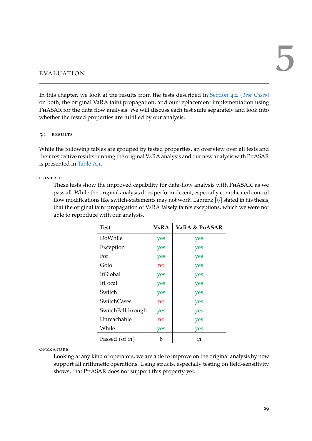<span id="page-38-0"></span>EVALUATION

In this chapter, we look at the results from the tests described in [Section 4.2 \(](#page-29-0)*Test Cases*) on both, the original VaRA taint propagation, and our replacement implementation using PhASAR for the data flow analysis. We will discuss each test suite separately and look into whether the tested properties are fulfilled by our analysis.

#### <span id="page-38-1"></span>5.1 RESULTS

While the following tables are grouped by tested properties, an overview over all tests and their respective results running the original VaRA analysis and our new analysis with PhASAR is presented in [Table A.1.](#page-48-1)

#### control

These tests show the improved capability for data-flow analysis with PhASAR, as we pass all. While the original analysis does perform decent, especially complicated control flow modifications like switch-statements may not work. Labrenz  $\lceil 9 \rceil$  stated in his thesis, that the original taint propagation of VaRA falsely taints exceptions, which we were not able to reproduce with our analysis.

| <b>Test</b>          | <b>VARA</b> | <b>VARA &amp; PHASAR</b> |
|----------------------|-------------|--------------------------|
| DoWhile              | yes         | yes                      |
| Exception            | yes         | yes                      |
| For                  | yes         | yes                      |
| Goto                 | no          | yes                      |
| <b>IfGlobal</b>      | yes         | yes                      |
| <b>IfLocal</b>       | yes         | yes                      |
| Switch               | yes         | yes                      |
| <b>SwitchCases</b>   | no          | yes                      |
| SwitchFallthrough    | yes         | yes                      |
| Unreachable          | no          | yes                      |
| While                | yes         | yes                      |
| Passed $($ of 11 $)$ | 8           | 11                       |

operators

Looking at any kind of operators, we are able to improve on the original analysis by now support all arithmetic operations. Using structs, especially testing on field-sensitivity shows, that PHASAR does not support this property yet.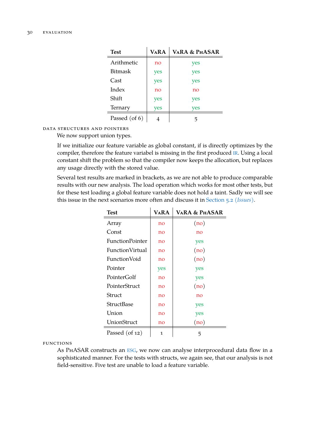| Test           | <b>VARA</b> | <b>VARA &amp; PHASAR</b> |
|----------------|-------------|--------------------------|
| Arithmetic     | no          | yes                      |
| <b>Bitmask</b> | yes         | yes                      |
| Cast           | yes         | yes                      |
| Index          | no          | no                       |
| Shift          | yes         | yes                      |
| Ternary        | yes         | yes                      |
| Passed (of 6)  |             |                          |

### data structures and pointers

We now support union types.

If we initialize our feature variable as global constant, if is directly optimizes by the compiler, therefore the feature variabel is missing in the first produced [IR](#page-8-1). Using a local constant shift the problem so that the compiler now keeps the allocation, but replaces any usage directly with the stored value.

Several test results are marked in brackets, as we are not able to produce comparable results with our new analysis. The load operation which works for most other tests, but for these test loading a global feature variable does not hold a taint. Sadly we will see this issue in the next scenarios more often and discuss it in [Section 5.2 \(](#page-40-0)*Issues*).

| <b>Test</b>            | VaRA | <b>VARA &amp; PHASAR</b> |
|------------------------|------|--------------------------|
| Array                  | no   | (no)                     |
| Const                  | no   | no                       |
| <b>FunctionPointer</b> | no   | yes                      |
| <b>FunctionVirtual</b> | no   | (no)                     |
| FunctionVoid           | no   | (no)                     |
| Pointer                | yes  | yes                      |
| PointerGolf            | no   | yes                      |
| PointerStruct          | no   | (no)                     |
| Struct                 | no   | no                       |
| <b>StructBase</b>      | no   | yes                      |
| Union                  | no   | yes                      |
| UnionStruct            | no   | (no)                     |
| Passed $($ of 12 $)$   | 1    | 5                        |

functions

As PhASAR constructs an [ESG](#page-8-6), we now can analyse interprocedural data flow in a sophisticated manner. For the tests with structs, we again see, that our analysis is not field-sensitive. Five test are unable to load a feature variable.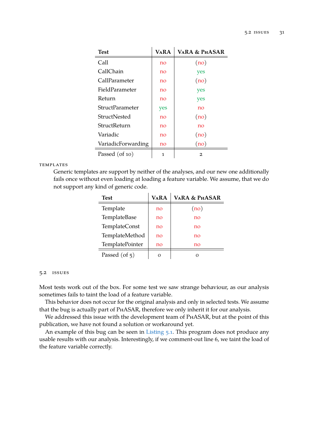| <b>Test</b>            | <b>VARA</b> | <b>VARA &amp; PHASAR</b> |
|------------------------|-------------|--------------------------|
| Call                   | no          | (no)                     |
| CallChain              | no          | yes                      |
| CallParameter          | no          | (no)                     |
| FieldParameter         | no          | yes                      |
| Return                 | no          | yes                      |
| <b>StructParameter</b> | yes         | no                       |
| StructNested           | no          | (no)                     |
| StructReturn           | no          | no                       |
| Variadic               | no          | (no)                     |
| VariadicForwarding     | no          | (no)                     |
| Passed (of 10)         | 1           | $\overline{2}$           |

**TEMPLATES** 

Generic templates are support by neither of the analyses, and our new one additionally fails once without even loading at loading a feature variable. We assume, that we do not support any kind of generic code.

| Test                   | <b>VARA</b> | <b>VARA &amp; PHASAR</b> |
|------------------------|-------------|--------------------------|
| Template               | no          | (no)                     |
| TemplateBase           | no          | no                       |
| <b>TemplateConst</b>   | no          | no                       |
| TemplateMethod         | no          | no                       |
| <b>TemplatePointer</b> | no          | no                       |
| Passed (of $5$ )       | Ω           |                          |

#### <span id="page-40-0"></span>5.2 issues

Most tests work out of the box. For some test we saw strange behaviour, as our analysis sometimes fails to taint the load of a feature variable.

This behavior does not occur for the original analysis and only in selected tests. We assume that the bug is actually part of PhASAR, therefore we only inherit it for our analysis.

We addressed this issue with the development team of PHASAR, but at the point of this publication, we have not found a solution or workaround yet.

An example of this bug can be seen in [Listing 5.1.](#page-41-1) This program does not produce any usable results with our analysis. Interestingly, if we comment-out line 6, we taint the load of the feature variable correctly.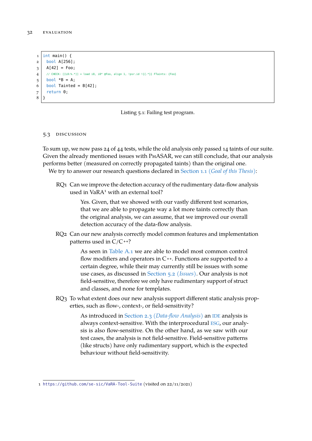```
1 \text{ int } \text{main}() {
2 \mid bool A[256];
3 \mid A[42] = F_{00};4 // CHECK: [[L0:%,*]] = load i8, i8* @Food of 1, !psr.id !{.*}} FTaints: {Foo}
5 \mid bool *B = A;
6 bool Tainted = B[42];
7 return 0;
8 }
```
Listing 5.1: Failing test program.

#### <span id="page-41-0"></span>5.3 DISCUSSION

To sum up, we now pass 24 of 44 tests, while the old analysis only passed 14 taints of our suite. Given the already mentioned issues with PhASAR, we can still conclude, that our analysis performs better (measured on correctly propagated taints) than the original one. We try to answer our research questions declared in Section 1.1 (*[Goal of this Thesis](#page-10-1)*):

RQ<sub>1</sub> Can we improve the detection accuracy of the rudimentary data-flow analysis used in VaRA<sup>1</sup> with an external tool?

> Yes. Given, that we showed with our vastly different test scenarios, that we are able to propagate way a lot more taints correctly than the original analysis, we can assume, that we improved our overall detection accuracy of the data-flow analysis.

RQ2 Can our new analysis correctly model common features and implementation patterns used in C/C **++**?

> As seen in [Table A.1](#page-48-1) we are able to model most common control flow modifiers and operators in C **++**. Functions are supported to a certain degree, while their may currently still be issues with some use cases, as discussed in [Section 5.2 \(](#page-40-0)*Issues*). Our analysis is not field-sensitive, therefore we only have rudimentary support of struct and classes, and none for templates.

RQ3 To what extent does our new analysis support different static analysis properties, such as flow-, context-, or field-sensitivity?

> As introduced in Section 2.3 (*[Data-flow Analysis](#page-15-0)*) an [IDE](#page-8-0) analysis is always context-sensitive. With the interprocedural [ESG](#page-8-6), our analysis is also flow-sensitive. On the other hand, as we saw with our test cases, the analysis is not field-sensitive. Field-sensitive patterns (like structs) have only rudimentary support, which is the expected behaviour without field-sensitivity.

<sup>1</sup> <https://github.com/se-sic/VaRA-Tool-Suite> (visited on 22/11/2021)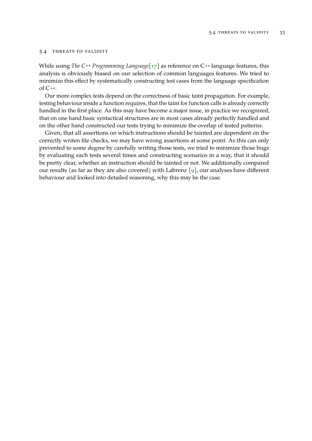#### <span id="page-42-0"></span>5.4 threats to validity

While using *The C ++ Programming Language*[\[17\]](#page-51-1) as reference on C **++** language features, this analysis is obviously biased on our selection of common languages features. We tried to minimize this effect by systematically constructing test cases from the language specification of C **++**.

Our more complex tests depend on the correctness of basic taint propagation. For example, testing behaviour inside a function requires, that the taint for function calls is already correctly handled in the first place. As this may have become a major issue, in practice we recognized, that on one hand basic syntactical structures are in most cases already perfectly handled and on the other hand constructed our tests trying to minimize the overlap of tested patterns.

Given, that all assertions on which instructions should be tainted are dependent on the correctly writen file checks, we may have wrong assertions at some point. As this can only prevented to some degree by carefully writing those tests, we tried to minimize those bugs by evaluating each tests several times and constructing scenarios in a way, that it should be pretty clear, whether an instruction should be tainted or not. We additionally compared our results (as far as they are also covered) with Labrenz  $\lceil 9 \rceil$ , our analyses have different behaviour and looked into detailed reasoning, why this may be the case.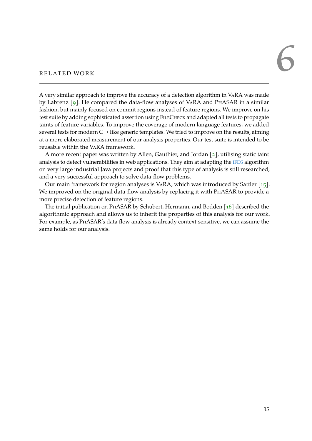# <span id="page-44-0"></span>RELATED WORK

A very similar approach to improve the accuracy of a detection algorithm in VaRA was made by Labrenz [\[9\]](#page-50-14). He compared the data-flow analyses of VARA and PHASAR in a similar fashion, but mainly focused on commit regions instead of feature regions. We improve on his test suite by adding sophisticated assertion using FileCheck and adapted all tests to propagate taints of feature variables. To improve the coverage of modern language features, we added several tests for modern C<sup>++</sup> like generic templates. We tried to improve on the results, aiming at a more elaborated measurement of our analysis properties. Our test suite is intended to be reusable within the VaRA framework.

A more recent paper was written by Allen, Gauthier, and Jordan [\[2\]](#page-50-15), utilising static taint analysis to detect vulnerabilities in web applications. They aim at adapting the [IFDS](#page-8-5) algorithm on very large industrial Java projects and proof that this type of analysis is still researched, and a very successful approach to solve data-flow problems.

Our main framework for region analyses is VARA, which was introduced by Sattler  $\lceil 15 \rceil$ . We improved on the original data-flow analysis by replacing it with PHASAR to provide a more precise detection of feature regions.

The initial publication on PhASAR by Schubert, Hermann, and Bodden [\[16\]](#page-51-0) described the algorithmic approach and allows us to inherit the properties of this analysis for our work. For example, as PhASAR's data flow analysis is already context-sensitive, we can assume the same holds for our analysis.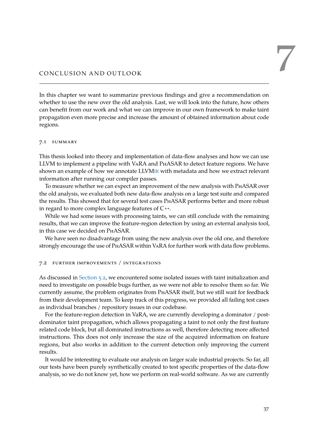# <span id="page-46-0"></span>CONCLUSION AND OUTLOOK

In this chapter we want to summarize previous findings and give a recommendation on whether to use the new over the old analysis. Last, we will look into the future, how others can benefit from our work and what we can improve in our own framework to make taint propagation even more precise and increase the amount of obtained information about code regions.

#### <span id="page-46-1"></span>7.1 summary

This thesis looked into theory and implementation of data-flow analyses and how we can use LLVM to implement a pipeline with VaRA and PhASAR to detect feature regions. We have shown an example of how we annotate LLVM[IR](#page-8-1) with metadata and how we extract relevant information after running our compiler passes.

To measure whether we can expect an improvement of the new analysis with PhASAR over the old analysis, we evaluated both new data-flow analysis on a large test suite and compared the results. This showed that for several test cases PhASAR performs better and more robust in regard to more complex language features of C **++**.

While we had some issues with processing taints, we can still conclude with the remaining results, that we can improve the feature-region detection by using an external analysis tool, in this case we decided on PhASAR.

We have seen no disadvantage from using the new analysis over the old one, and therefore strongly encourage the use of PhASAR within VaRA for further work with data flow problems.

#### <span id="page-46-2"></span>7.2 further improvements / integrations

As discussed in [Section 5.2,](#page-40-0) we encountered some isolated issues with taint initialization and need to investigate on possible bugs further, as we were not able to resolve them so far. We currently assume, the problem originates from PhASAR itself, but we still wait for feedback from their development team. To keep track of this progress, we provided all failing test cases as individual branches / repository issues in our codebase.

For the feature-region detection in VaRA, we are currently developing a dominator / postdominator taint propagation, which allows propagating a taint to not only the first feature related code block, but all dominated instructions as well, therefore detecting more affected instructions. This does not only increase the size of the acquired information on feature regions, but also works in addition to the current detection only improving the current results.

It would be interesting to evaluate our analysis on larger scale industrial projects. So far, all our tests have been purely synthetically created to test specific properties of the data-flow analysis, so we do not know yet, how we perform on real-world software. As we are currently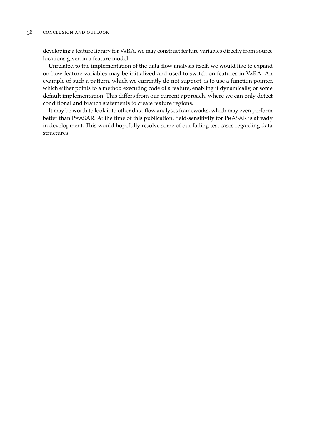developing a feature library for VaRA, we may construct feature variables directly from source locations given in a feature model.

Unrelated to the implementation of the data-flow analysis itself, we would like to expand on how feature variables may be initialized and used to switch-on features in VaRA. An example of such a pattern, which we currently do not support, is to use a function pointer, which either points to a method executing code of a feature, enabling it dynamically, or some default implementation. This differs from our current approach, where we can only detect conditional and branch statements to create feature regions.

It may be worth to look into other data-flow analyses frameworks, which may even perform better than PhASAR. At the time of this publication, field-sensitivity for PhASAR is already in development. This would hopefully resolve some of our failing test cases regarding data structures.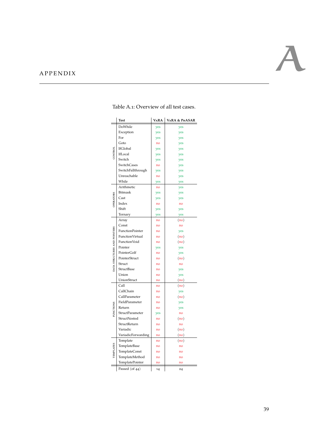### <span id="page-48-1"></span><span id="page-48-0"></span>A P P E N D I X

|                              | <b>Test</b>            | VARA | VARA & PHASAR |
|------------------------------|------------------------|------|---------------|
|                              | DoWhile                | yes  | yes           |
|                              | Exception              | yes  | yes           |
|                              | For                    | yes  | yes           |
|                              | Goto                   | no   | yes           |
|                              | IfGlobal               | yes  | yes           |
| CATTRO                       | IfLocal                | yes  | yes           |
|                              | Switch                 | yes  | yes           |
|                              | SwitchCases            | no   | yes           |
|                              | SwitchFallthrough      | yes  | yes           |
|                              | Unreachable            | no   | yes           |
|                              | While                  | yes  | yes           |
|                              | Arithmetic             | no   | yes           |
|                              | <b>Bitmask</b>         | yes  | yes           |
| <b>OPERATORS</b>             | Cast                   | yes  | yes           |
|                              | Index                  | no   | no            |
|                              | Shift                  | yes  | yes           |
|                              | Ternary                | yes  | yes           |
|                              | Array                  | no   | (no)          |
|                              | Const                  | no   | no            |
|                              | <b>FunctionPointer</b> | no   |               |
|                              | FunctionVirtual        |      | yes           |
| DATA STRUCTURES AND POINTERS | FunctionVoid           | no   | (no)          |
|                              | Pointer                | no   | (no)          |
|                              | PointerGolf            | yes  | yes           |
|                              |                        | no   | yes           |
|                              | PointerStruct          | no   | (no)          |
|                              | Struct                 | no   | no            |
|                              | StructBase             | no   | yes           |
|                              | Union                  | no   | yes           |
|                              | UnionStruct            | no   | (no)          |
|                              | Call                   | no   | (no)          |
|                              | CallChain              | no   | yes           |
|                              | CallParameter          | no   | (no)          |
|                              | FieldParameter         | no   | yes           |
| <b>FUNCTIONS</b>             | Return                 | no   | yes           |
|                              | StructParameter        | yes  | no            |
|                              | StructNested           | no   | (no)          |
|                              | StructReturn           | no   | no            |
|                              | Variadic               | no   | (no)          |
|                              | VariadicForwarding     | no   | (no)          |
|                              | Template               | no   | (no)          |
|                              |                        | no   | no            |
|                              | TemplateBase           |      |               |
|                              | <b>TemplateConst</b>   | no   | no            |
| TEMPLATES                    | TemplateMethod         | no   | no            |
|                              | TemplatePointer        | no   | no            |

#### Table A.1 : Overview of all test cases.

A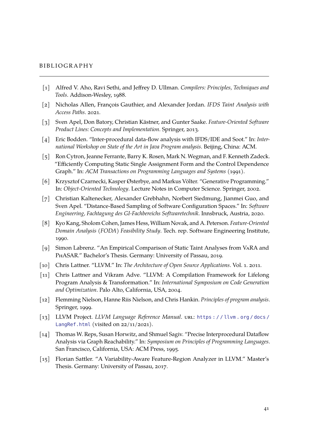#### <span id="page-50-0"></span>**BIBLIOGRAPHY**

- <span id="page-50-5"></span>[1] Alfred V. Aho, Ravi Sethi, and Jeffrey D. Ullman. *Compilers: Principles, Techniques and Tools*. Addison-Wesley, 1988.
- <span id="page-50-15"></span>[2] Nicholas Allen, François Gauthier, and Alexander Jordan. *IFDS Taint Analysis with Access Paths*. 2021.
- <span id="page-50-1"></span>[3] Sven Apel, Don Batory, Christian Kästner, and Gunter Saake. *Feature-Oriented Software Product Lines: Concepts and Implementation*. Springer, 2013.
- <span id="page-50-8"></span>[4] Eric Bodden. "Inter-procedural data-flow analysis with IFDS/IDE and Soot." In: *International Workshop on State of the Art in Java Program analysis*. Beijing, China: ACM.
- <span id="page-50-11"></span>[5] Ron Cytron, Jeanne Ferrante, Barry K. Rosen, Mark N. Wegman, and F. Kenneth Zadeck. "Efficiently Computing Static Single Assignment Form and the Control Dependence Graph." In: *ACM Transactions on Programming Languages and Systems* (1991).
- <span id="page-50-2"></span>[6] Krzysztof Czarnecki, Kasper Østerbye, and Markus Völter. "Generative Programming." In: *Object-Oriented Technology*. Lecture Notes in Computer Science. Springer, 2002.
- <span id="page-50-4"></span>[7] Christian Kaltenecker, Alexander Grebhahn, Norbert Siedmung, Jianmei Guo, and Sven Apel. "Distance-Based Sampling of Software Configuration Spaces." In: *Software Engineering, Fachtagung des GI-Fachbereichs Softwaretechnik*. Innsbruck, Austria, 2020.
- <span id="page-50-3"></span>[8] Kyo Kang, Sholom Cohen, James Hess, William Novak, and A. Peterson. *Feature-Oriented Domain Analysis (FODA) Feasibility Study*. Tech. rep. Software Engineering Institute, 1990.
- <span id="page-50-14"></span>[9] Simon Labrenz. "An Empirical Comparison of Static Taint Analyses from VaRA and PhASAR." Bachelor's Thesis. Germany: University of Passau, 2019.
- <span id="page-50-10"></span>[10] Chris Lattner. "LLVM." In: *The Architecture of Open Source Applications*. Vol. 1. 2011.
- <span id="page-50-9"></span>[11] Chris Lattner and Vikram Adve. "LLVM: A Compilation Framework for Lifelong Program Analysis & Transformation." In: *International Symposium on Code Generation and Optimization*. Palo Alto, California, USA, 2004.
- <span id="page-50-6"></span>[12] Flemming Nielson, Hanne Riis Nielson, and Chris Hankin. *Principles of program analysis*. Springer, 1999.
- <span id="page-50-12"></span>[13] LLVM Project. *LLVM Language Reference Manual*. url: https://llvm.org/docs/ [LangRef.html](https://llvm.org/docs/LangRef.html) (visited on 22/11/2021).
- <span id="page-50-7"></span>[14] Thomas W. Reps, Susan Horwitz, and Shmuel Sagiv. "Precise Interprocedural Dataflow Analysis via Graph Reachability." In: *Symposium on Principles of Programming Languages*. San Francisco, California, USA: ACM Press, 1995.
- <span id="page-50-13"></span>[15] Florian Sattler. "A Variability-Aware Feature-Region Analyzer in LLVM." Master's Thesis. Germany: University of Passau, 2017.